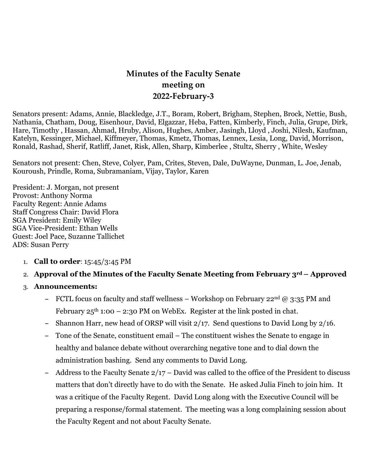# **Minutes of the Faculty Senate meeting on 2022-February-3**

Senators present: Adams, Annie, Blackledge, J.T., Boram, Robert, Brigham, Stephen, Brock, Nettie, Bush, Nathania, Chatham, Doug, Eisenhour, David, Elgazzar, Heba, Fatten, Kimberly, Finch, Julia, Grupe, Dirk, Hare, Timothy , Hassan, Ahmad, Hruby, Alison, Hughes, Amber, Jasingh, Lloyd , Joshi, Nilesh, Kaufman, Katelyn, Kessinger, Michael, Kiffmeyer, Thomas, Kmetz, Thomas, Lennex, Lesia, Long, David, Morrison, Ronald, Rashad, Sherif, Ratliff, Janet, Risk, Allen, Sharp, Kimberlee , Stultz, Sherry , White, Wesley

Senators not present: Chen, Steve, Colyer, Pam, Crites, Steven, Dale, DuWayne, Dunman, L. Joe, Jenab, Kouroush, Prindle, Roma, Subramaniam, Vijay, Taylor, Karen

President: J. Morgan, not present Provost: Anthony Norma Faculty Regent: Annie Adams Staff Congress Chair: David Flora SGA President: Emily Wiley SGA Vice-President: Ethan Wells Guest: Joel Pace, Suzanne Tallichet ADS: Susan Perry

- 1. **Call to order**: 15:45/3:45 PM
- 2. **Approval of the Minutes of the Faculty Senate Meeting from February 3rd – Approved**
- 3. **Announcements:**
	- **–** FCTL focus on faculty and staff wellness Workshop on February 22nd @ 3:35 PM and February  $25<sup>th</sup>$  1:00 – 2:30 PM on WebEx. Register at the link posted in chat.
	- **–** Shannon Harr, new head of ORSP will visit 2/17. Send questions to David Long by 2/16.
	- **–** Tone of the Senate, constituent email The constituent wishes the Senate to engage in healthy and balance debate without overarching negative tone and to dial down the administration bashing. Send any comments to David Long.
	- **–** Address to the Faculty Senate 2/17 David was called to the office of the President to discuss matters that don't directly have to do with the Senate. He asked Julia Finch to join him. It was a critique of the Faculty Regent. David Long along with the Executive Council will be preparing a response/formal statement. The meeting was a long complaining session about the Faculty Regent and not about Faculty Senate.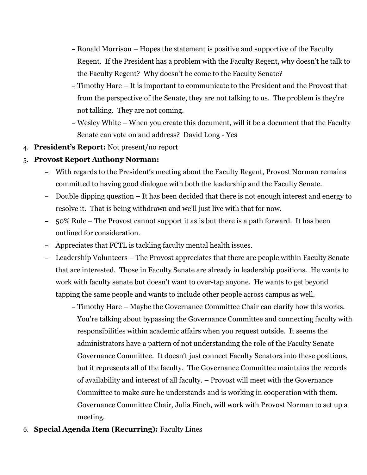- **–** Ronald Morrison Hopes the statement is positive and supportive of the Faculty Regent. If the President has a problem with the Faculty Regent, why doesn't he talk to the Faculty Regent? Why doesn't he come to the Faculty Senate?
- **–** Timothy Hare It is important to communicate to the President and the Provost that from the perspective of the Senate, they are not talking to us. The problem is they're not talking. They are not coming.
- **–** Wesley White When you create this document, will it be a document that the Faculty Senate can vote on and address? David Long - Yes
- 4. **President's Report:** Not present/no report

### 5. **Provost Report Anthony Norman:**

- **–** With regards to the President's meeting about the Faculty Regent, Provost Norman remains committed to having good dialogue with both the leadership and the Faculty Senate.
- **–** Double dipping question It has been decided that there is not enough interest and energy to resolve it. That is being withdrawn and we'll just live with that for now.
- **–** 50% Rule The Provost cannot support it as is but there is a path forward. It has been outlined for consideration.
- **–** Appreciates that FCTL is tackling faculty mental health issues.
- **–** Leadership Volunteers The Provost appreciates that there are people within Faculty Senate that are interested. Those in Faculty Senate are already in leadership positions. He wants to work with faculty senate but doesn't want to over-tap anyone. He wants to get beyond tapping the same people and wants to include other people across campus as well.
	- **–** Timothy Hare Maybe the Governance Committee Chair can clarify how this works. You're talking about bypassing the Governance Committee and connecting faculty with responsibilities within academic affairs when you request outside. It seems the administrators have a pattern of not understanding the role of the Faculty Senate Governance Committee. It doesn't just connect Faculty Senators into these positions, but it represents all of the faculty. The Governance Committee maintains the records of availability and interest of all faculty. – Provost will meet with the Governance Committee to make sure he understands and is working in cooperation with them. Governance Committee Chair, Julia Finch, will work with Provost Norman to set up a meeting.
- 6. **Special Agenda Item (Recurring):** Faculty Lines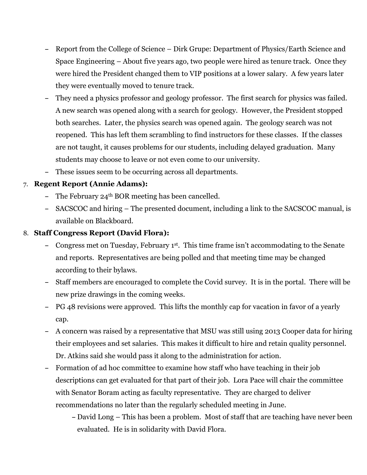- **–** Report from the College of Science Dirk Grupe: Department of Physics/Earth Science and Space Engineering – About five years ago, two people were hired as tenure track. Once they were hired the President changed them to VIP positions at a lower salary. A few years later they were eventually moved to tenure track.
- **–** They need a physics professor and geology professor. The first search for physics was failed. A new search was opened along with a search for geology. However, the President stopped both searches. Later, the physics search was opened again. The geology search was not reopened. This has left them scrambling to find instructors for these classes. If the classes are not taught, it causes problems for our students, including delayed graduation. Many students may choose to leave or not even come to our university.
- **–** These issues seem to be occurring across all departments.

# 7. **Regent Report (Annie Adams):**

- **–** The February 24th BOR meeting has been cancelled.
- **–** SACSCOC and hiring The presented document, including a link to the SACSCOC manual, is available on Blackboard.

# 8. **Staff Congress Report (David Flora):**

- **–** Congress met on Tuesday, February 1st. This time frame isn't accommodating to the Senate and reports. Representatives are being polled and that meeting time may be changed according to their bylaws.
- **–** Staff members are encouraged to complete the Covid survey. It is in the portal. There will be new prize drawings in the coming weeks.
- **–** PG 48 revisions were approved. This lifts the monthly cap for vacation in favor of a yearly cap.
- **–** A concern was raised by a representative that MSU was still using 2013 Cooper data for hiring their employees and set salaries. This makes it difficult to hire and retain quality personnel. Dr. Atkins said she would pass it along to the administration for action.
- **–** Formation of ad hoc committee to examine how staff who have teaching in their job descriptions can get evaluated for that part of their job. Lora Pace will chair the committee with Senator Boram acting as faculty representative. They are charged to deliver recommendations no later than the regularly scheduled meeting in June.
	- **–** David Long This has been a problem. Most of staff that are teaching have never been evaluated. He is in solidarity with David Flora.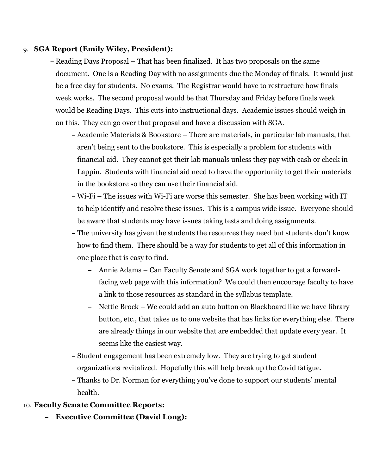### 9. **SGA Report (Emily Wiley, President):**

- **–** Reading Days Proposal That has been finalized. It has two proposals on the same document. One is a Reading Day with no assignments due the Monday of finals. It would just be a free day for students. No exams. The Registrar would have to restructure how finals week works. The second proposal would be that Thursday and Friday before finals week would be Reading Days. This cuts into instructional days. Academic issues should weigh in on this. They can go over that proposal and have a discussion with SGA.
	- **–** Academic Materials & Bookstore There are materials, in particular lab manuals, that aren't being sent to the bookstore. This is especially a problem for students with financial aid. They cannot get their lab manuals unless they pay with cash or check in Lappin. Students with financial aid need to have the opportunity to get their materials in the bookstore so they can use their financial aid.
	- **–** Wi-Fi The issues with Wi-Fi are worse this semester. She has been working with IT to help identify and resolve these issues. This is a campus wide issue. Everyone should be aware that students may have issues taking tests and doing assignments.
	- **–** The university has given the students the resources they need but students don't know how to find them. There should be a way for students to get all of this information in one place that is easy to find.
		- **–** Annie Adams Can Faculty Senate and SGA work together to get a forwardfacing web page with this information? We could then encourage faculty to have a link to those resources as standard in the syllabus template.
		- **–** Nettie Brock We could add an auto button on Blackboard like we have library button, etc., that takes us to one website that has links for everything else. There are already things in our website that are embedded that update every year. It seems like the easiest way.
	- **–** Student engagement has been extremely low. They are trying to get student organizations revitalized. Hopefully this will help break up the Covid fatigue.
	- **–** Thanks to Dr. Norman for everything you've done to support our students' mental health.

### 10. **Faculty Senate Committee Reports:**

**– Executive Committee (David Long):**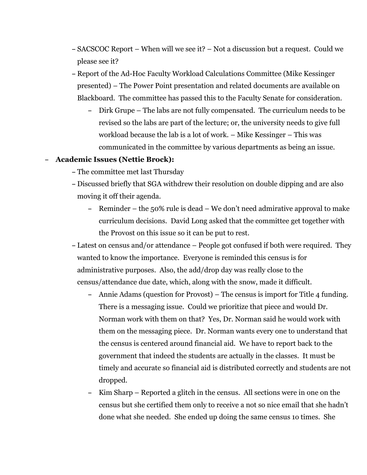- **–** SACSCOC Report When will we see it? Not a discussion but a request. Could we please see it?
- **–** Report of the Ad-Hoc Faculty Workload Calculations Committee (Mike Kessinger presented) – The Power Point presentation and related documents are available on Blackboard. The committee has passed this to the Faculty Senate for consideration.
	- **–** Dirk Grupe The labs are not fully compensated. The curriculum needs to be revised so the labs are part of the lecture; or, the university needs to give full workload because the lab is a lot of work. – Mike Kessinger – This was communicated in the committee by various departments as being an issue.

#### **– Academic Issues (Nettie Brock):**

- **–** The committee met last Thursday
- **–** Discussed briefly that SGA withdrew their resolution on double dipping and are also moving it off their agenda.
	- **–** Reminder the 50% rule is dead We don't need admirative approval to make curriculum decisions. David Long asked that the committee get together with the Provost on this issue so it can be put to rest.
- **–** Latest on census and/or attendance People got confused if both were required. They wanted to know the importance. Everyone is reminded this census is for administrative purposes. Also, the add/drop day was really close to the census/attendance due date, which, along with the snow, made it difficult.
	- **–** Annie Adams (question for Provost) The census is import for Title 4 funding. There is a messaging issue. Could we prioritize that piece and would Dr. Norman work with them on that? Yes, Dr. Norman said he would work with them on the messaging piece. Dr. Norman wants every one to understand that the census is centered around financial aid. We have to report back to the government that indeed the students are actually in the classes. It must be timely and accurate so financial aid is distributed correctly and students are not dropped.
	- **–** Kim Sharp Reported a glitch in the census. All sections were in one on the census but she certified them only to receive a not so nice email that she hadn't done what she needed. She ended up doing the same census 1o times. She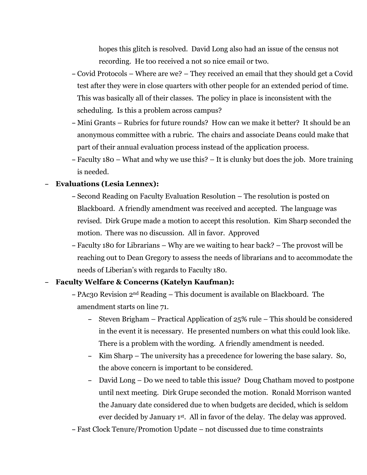hopes this glitch is resolved. David Long also had an issue of the census not recording. He too received a not so nice email or two.

- **–** Covid Protocols Where are we? They received an email that they should get a Covid test after they were in close quarters with other people for an extended period of time. This was basically all of their classes. The policy in place is inconsistent with the scheduling. Is this a problem across campus?
- **–** Mini Grants Rubrics for future rounds? How can we make it better? It should be an anonymous committee with a rubric. The chairs and associate Deans could make that part of their annual evaluation process instead of the application process.
- **–** Faculty 180 What and why we use this? It is clunky but does the job. More training is needed.

#### **– Evaluations (Lesia Lennex):**

- **–** Second Reading on Faculty Evaluation Resolution The resolution is posted on Blackboard. A friendly amendment was received and accepted. The language was revised. Dirk Grupe made a motion to accept this resolution. Kim Sharp seconded the motion. There was no discussion. All in favor. Approved
- **–** Faculty 180 for Librarians Why are we waiting to hear back? The provost will be reaching out to Dean Gregory to assess the needs of librarians and to accommodate the needs of Liberian's with regards to Faculty 180.

#### **– Faculty Welfare & Concerns (Katelyn Kaufman):**

- **–** PAc30 Revision 2nd Reading This document is available on Blackboard. The amendment starts on line 71.
	- **–** Steven Brigham Practical Application of 25% rule This should be considered in the event it is necessary. He presented numbers on what this could look like. There is a problem with the wording. A friendly amendment is needed.
	- **–** Kim Sharp The university has a precedence for lowering the base salary. So, the above concern is important to be considered.
	- **–** David Long Do we need to table this issue? Doug Chatham moved to postpone until next meeting. Dirk Grupe seconded the motion. Ronald Morrison wanted the January date considered due to when budgets are decided, which is seldom ever decided by January 1st. All in favor of the delay. The delay was approved.

**–** Fast Clock Tenure/Promotion Update – not discussed due to time constraints